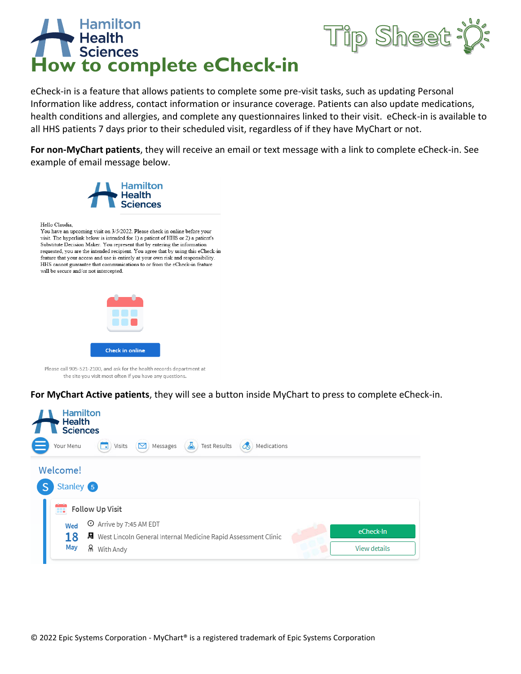

eCheck-in is a feature that allows patients to complete some pre-visit tasks, such as updating Personal Information like address, contact information or insurance coverage. Patients can also update medications, health conditions and allergies, and complete any questionnaires linked to their visit. eCheck-in is available to all HHS patients 7 days prior to their scheduled visit, regardless of if they have MyChart or not.

p Sheet

**For non-MyChart patients**, they will receive an email or text message with a link to complete eCheck-in. See example of email message below.



**For MyChart Active patients**, they will see a button inside MyChart to press to complete eCheck-in.